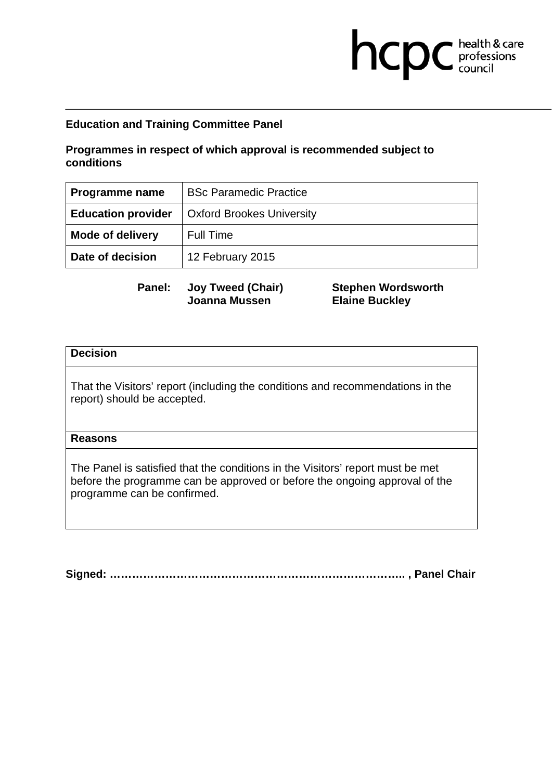### **Programmes in respect of which approval is recommended subject to conditions**

| Programme name            | <b>BSc Paramedic Practice</b>    |
|---------------------------|----------------------------------|
| <b>Education provider</b> | <b>Oxford Brookes University</b> |
| <b>Mode of delivery</b>   | <b>Full Time</b>                 |
| Date of decision          | 12 February 2015                 |

**Panel: Joy Tweed (Chair) Joanna Mussen** 

**Stephen Wordsworth Elaine Buckley** 

hcpc health & care

### **Decision**

That the Visitors' report (including the conditions and recommendations in the report) should be accepted.

#### **Reasons**

The Panel is satisfied that the conditions in the Visitors' report must be met before the programme can be approved or before the ongoing approval of the programme can be confirmed.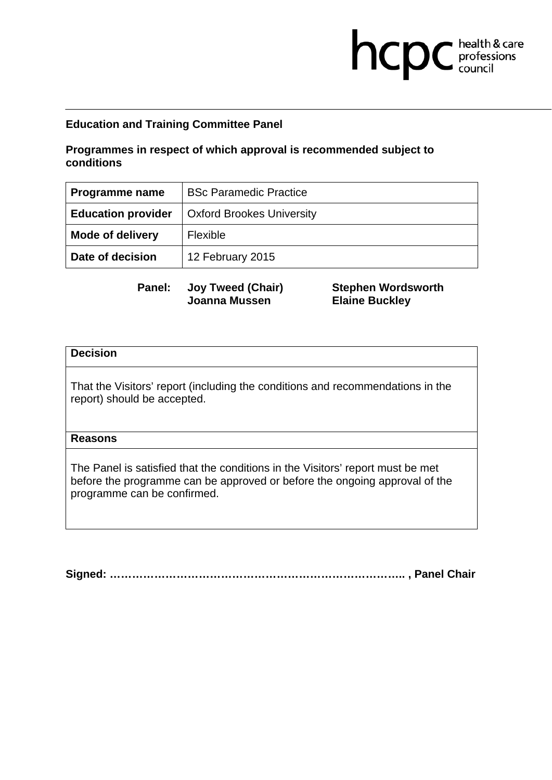### **Programmes in respect of which approval is recommended subject to conditions**

| Programme name            | <b>BSc Paramedic Practice</b>    |
|---------------------------|----------------------------------|
| <b>Education provider</b> | <b>Oxford Brookes University</b> |
| <b>Mode of delivery</b>   | Flexible                         |
| Date of decision          | 12 February 2015                 |

**Panel: Joy Tweed (Chair) Joanna Mussen** 

**Stephen Wordsworth Elaine Buckley** 

hcpc health & care

### **Decision**

That the Visitors' report (including the conditions and recommendations in the report) should be accepted.

#### **Reasons**

The Panel is satisfied that the conditions in the Visitors' report must be met before the programme can be approved or before the ongoing approval of the programme can be confirmed.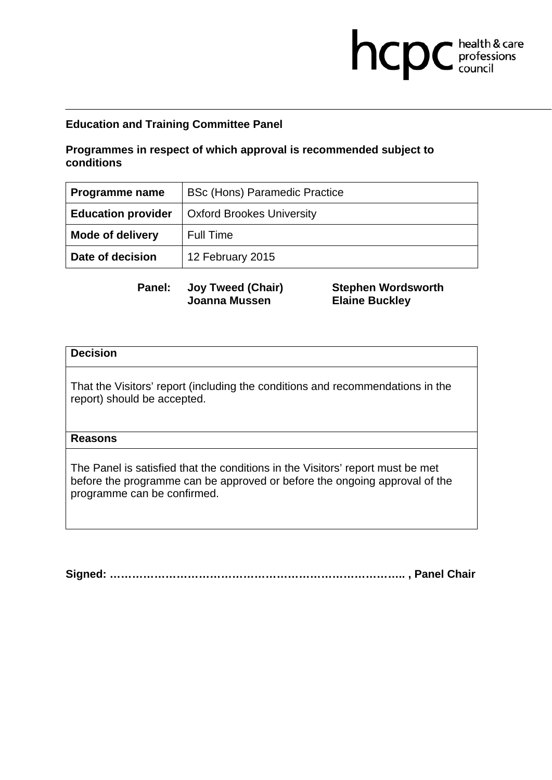## **Programmes in respect of which approval is recommended subject to conditions**

| Programme name            | <b>BSc (Hons) Paramedic Practice</b> |
|---------------------------|--------------------------------------|
| <b>Education provider</b> | <b>Oxford Brookes University</b>     |
| <b>Mode of delivery</b>   | <b>Full Time</b>                     |
| Date of decision          | 12 February 2015                     |

**Panel: Joy Tweed (Chair) Joanna Mussen** 

**Stephen Wordsworth Elaine Buckley** 

hcpc health & care

### **Decision**

That the Visitors' report (including the conditions and recommendations in the report) should be accepted.

### **Reasons**

The Panel is satisfied that the conditions in the Visitors' report must be met before the programme can be approved or before the ongoing approval of the programme can be confirmed.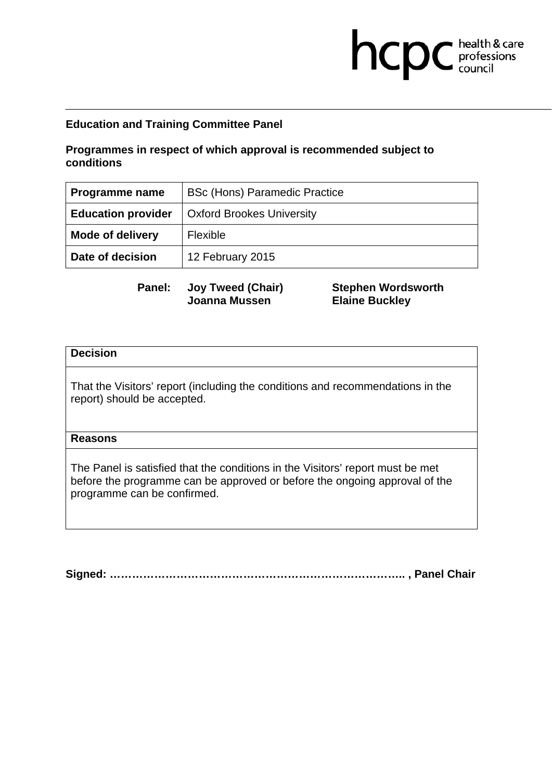## **Programmes in respect of which approval is recommended subject to conditions**

| Programme name            | <b>BSc (Hons) Paramedic Practice</b> |
|---------------------------|--------------------------------------|
| <b>Education provider</b> | <b>Oxford Brookes University</b>     |
| <b>Mode of delivery</b>   | <b>Flexible</b>                      |
| Date of decision          | 12 February 2015                     |

**Panel: Joy Tweed (Chair) Joanna Mussen** 

**Stephen Wordsworth Elaine Buckley** 

hcpc health & care

### **Decision**

That the Visitors' report (including the conditions and recommendations in the report) should be accepted.

### **Reasons**

The Panel is satisfied that the conditions in the Visitors' report must be met before the programme can be approved or before the ongoing approval of the programme can be confirmed.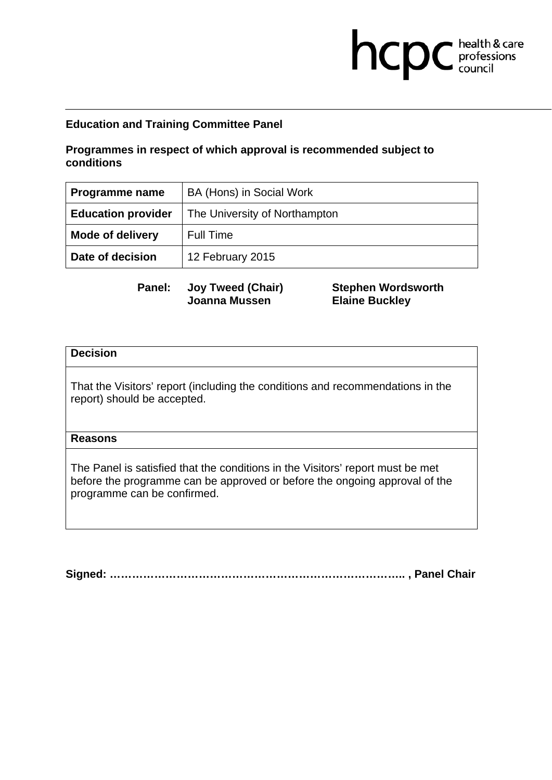### **Programmes in respect of which approval is recommended subject to conditions**

| Programme name            | BA (Hons) in Social Work      |
|---------------------------|-------------------------------|
| <b>Education provider</b> | The University of Northampton |
| <b>Mode of delivery</b>   | <b>Full Time</b>              |
| Date of decision          | 12 February 2015              |

**Panel: Joy Tweed (Chair) Joanna Mussen** 

**Stephen Wordsworth Elaine Buckley** 

hcpc health & care

### **Decision**

That the Visitors' report (including the conditions and recommendations in the report) should be accepted.

#### **Reasons**

The Panel is satisfied that the conditions in the Visitors' report must be met before the programme can be approved or before the ongoing approval of the programme can be confirmed.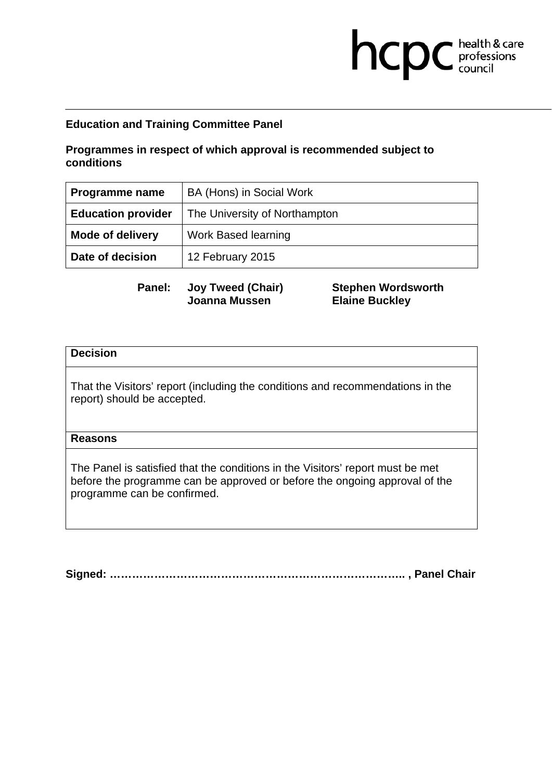## **Programmes in respect of which approval is recommended subject to conditions**

| Programme name            | BA (Hons) in Social Work      |
|---------------------------|-------------------------------|
| <b>Education provider</b> | The University of Northampton |
| <b>Mode of delivery</b>   | <b>Work Based learning</b>    |
| Date of decision          | 12 February 2015              |

**Panel: Joy Tweed (Chair) Joanna Mussen** 

**Stephen Wordsworth Elaine Buckley** 

hcpc health & care

### **Decision**

That the Visitors' report (including the conditions and recommendations in the report) should be accepted.

### **Reasons**

The Panel is satisfied that the conditions in the Visitors' report must be met before the programme can be approved or before the ongoing approval of the programme can be confirmed.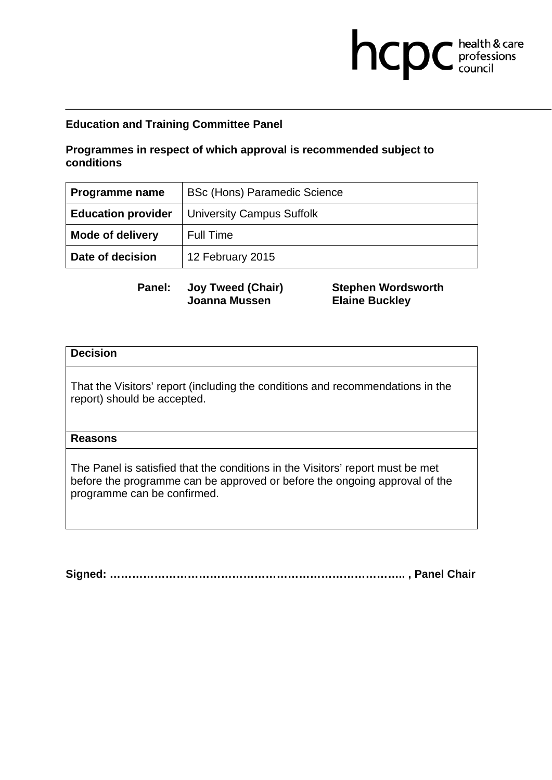## **Programmes in respect of which approval is recommended subject to conditions**

| Programme name            | <b>BSc (Hons) Paramedic Science</b> |
|---------------------------|-------------------------------------|
| <b>Education provider</b> | <b>University Campus Suffolk</b>    |
| <b>Mode of delivery</b>   | <b>Full Time</b>                    |
| Date of decision          | 12 February 2015                    |

**Panel: Joy Tweed (Chair) Joanna Mussen** 

**Stephen Wordsworth Elaine Buckley** 

hcpc health & care

### **Decision**

That the Visitors' report (including the conditions and recommendations in the report) should be accepted.

### **Reasons**

The Panel is satisfied that the conditions in the Visitors' report must be met before the programme can be approved or before the ongoing approval of the programme can be confirmed.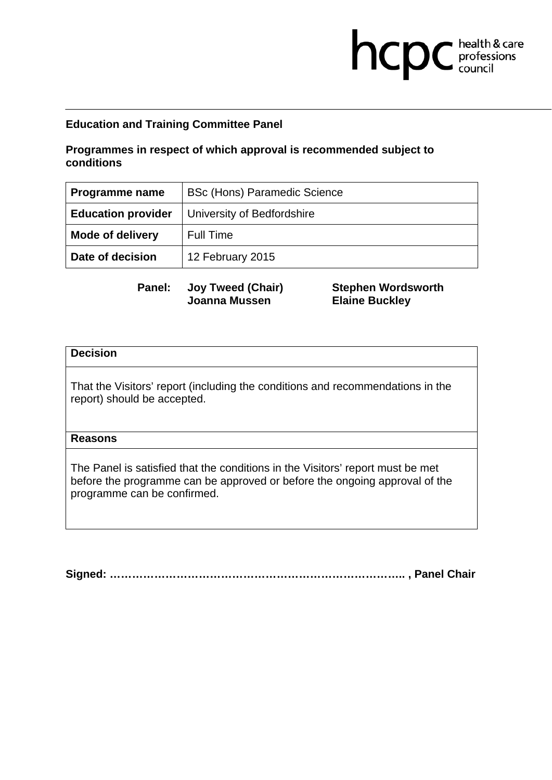## **Programmes in respect of which approval is recommended subject to conditions**

| Programme name            | <b>BSc (Hons) Paramedic Science</b> |
|---------------------------|-------------------------------------|
| <b>Education provider</b> | University of Bedfordshire          |
| <b>Mode of delivery</b>   | <b>Full Time</b>                    |
| Date of decision          | 12 February 2015                    |

**Panel: Joy Tweed (Chair) Joanna Mussen** 

**Stephen Wordsworth Elaine Buckley** 

hcpc health & care

### **Decision**

That the Visitors' report (including the conditions and recommendations in the report) should be accepted.

#### **Reasons**

The Panel is satisfied that the conditions in the Visitors' report must be met before the programme can be approved or before the ongoing approval of the programme can be confirmed.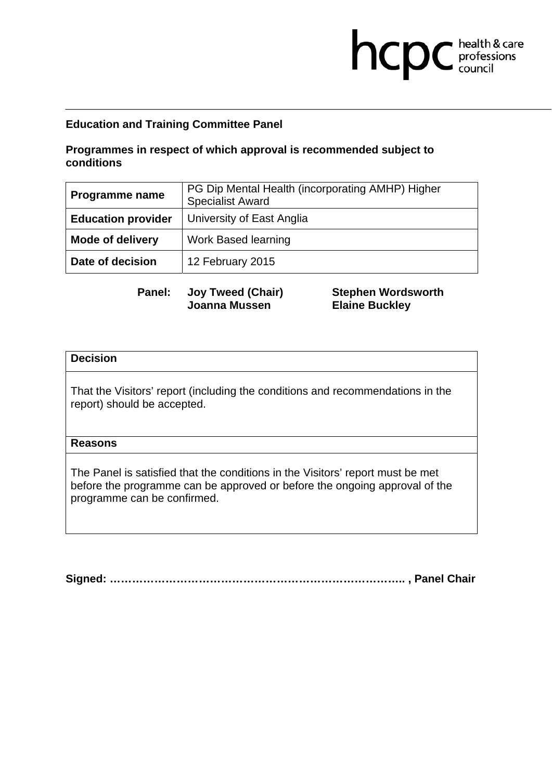### **Programmes in respect of which approval is recommended subject to conditions**

| <b>Programme name</b>     | PG Dip Mental Health (incorporating AMHP) Higher<br><b>Specialist Award</b> |
|---------------------------|-----------------------------------------------------------------------------|
| <b>Education provider</b> | University of East Anglia                                                   |
| <b>Mode of delivery</b>   | <b>Work Based learning</b>                                                  |
| Date of decision          | 12 February 2015                                                            |

**Panel: Joy Tweed (Chair) Joanna Mussen** 

**Stephen Wordsworth Elaine Buckley** 

hcpc health & care

#### **Decision**

That the Visitors' report (including the conditions and recommendations in the report) should be accepted.

### **Reasons**

The Panel is satisfied that the conditions in the Visitors' report must be met before the programme can be approved or before the ongoing approval of the programme can be confirmed.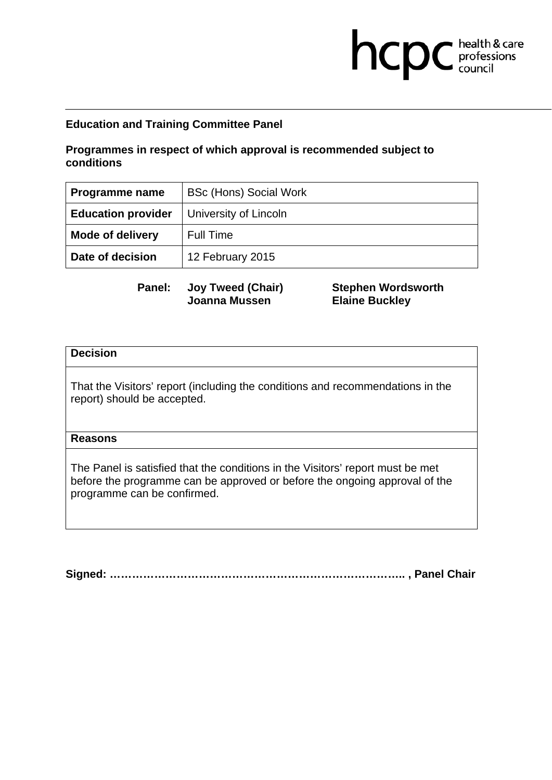### **Programmes in respect of which approval is recommended subject to conditions**

| Programme name            | <b>BSc (Hons) Social Work</b> |
|---------------------------|-------------------------------|
| <b>Education provider</b> | University of Lincoln         |
| <b>Mode of delivery</b>   | <b>Full Time</b>              |
| Date of decision          | 12 February 2015              |

**Panel: Joy Tweed (Chair) Joanna Mussen** 

**Stephen Wordsworth Elaine Buckley** 

hcpc health & care

### **Decision**

That the Visitors' report (including the conditions and recommendations in the report) should be accepted.

#### **Reasons**

The Panel is satisfied that the conditions in the Visitors' report must be met before the programme can be approved or before the ongoing approval of the programme can be confirmed.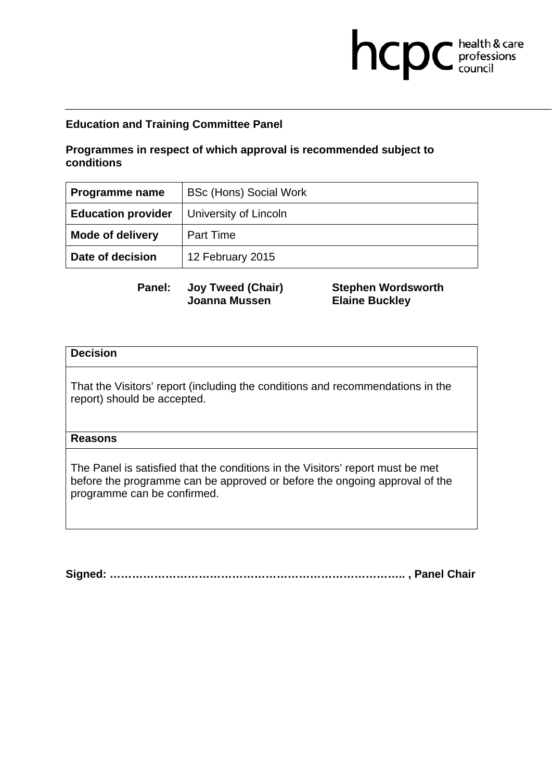### **Programmes in respect of which approval is recommended subject to conditions**

| Programme name            | <b>BSc (Hons) Social Work</b> |
|---------------------------|-------------------------------|
| <b>Education provider</b> | University of Lincoln         |
| <b>Mode of delivery</b>   | <b>Part Time</b>              |
| Date of decision          | 12 February 2015              |

**Panel: Joy Tweed (Chair) Joanna Mussen** 

**Stephen Wordsworth Elaine Buckley** 

hcpc health & care

### **Decision**

That the Visitors' report (including the conditions and recommendations in the report) should be accepted.

#### **Reasons**

The Panel is satisfied that the conditions in the Visitors' report must be met before the programme can be approved or before the ongoing approval of the programme can be confirmed.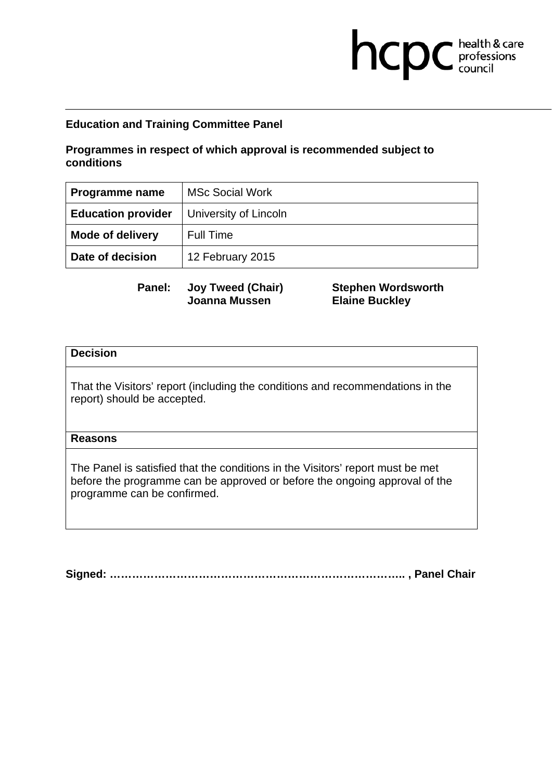### **Programmes in respect of which approval is recommended subject to conditions**

| Programme name            | <b>MSc Social Work</b> |
|---------------------------|------------------------|
| <b>Education provider</b> | University of Lincoln  |
| <b>Mode of delivery</b>   | <b>Full Time</b>       |
| Date of decision          | 12 February 2015       |

**Panel: Joy Tweed (Chair) Joanna Mussen** 

**Stephen Wordsworth Elaine Buckley** 

hcpc health & care

### **Decision**

That the Visitors' report (including the conditions and recommendations in the report) should be accepted.

#### **Reasons**

The Panel is satisfied that the conditions in the Visitors' report must be met before the programme can be approved or before the ongoing approval of the programme can be confirmed.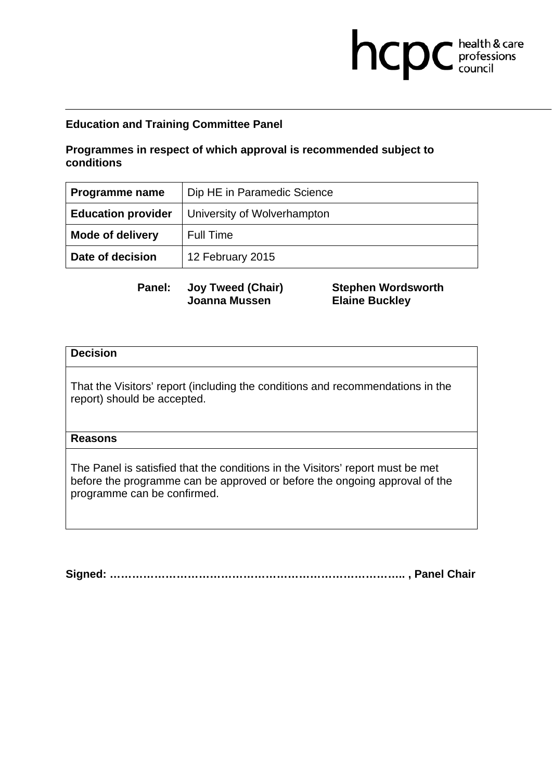## **Programmes in respect of which approval is recommended subject to conditions**

| Programme name            | Dip HE in Paramedic Science |
|---------------------------|-----------------------------|
| <b>Education provider</b> | University of Wolverhampton |
| <b>Mode of delivery</b>   | <b>Full Time</b>            |
| Date of decision          | 12 February 2015            |

**Panel: Joy Tweed (Chair) Joanna Mussen** 

**Stephen Wordsworth Elaine Buckley** 

hcpc health & care

### **Decision**

That the Visitors' report (including the conditions and recommendations in the report) should be accepted.

### **Reasons**

The Panel is satisfied that the conditions in the Visitors' report must be met before the programme can be approved or before the ongoing approval of the programme can be confirmed.